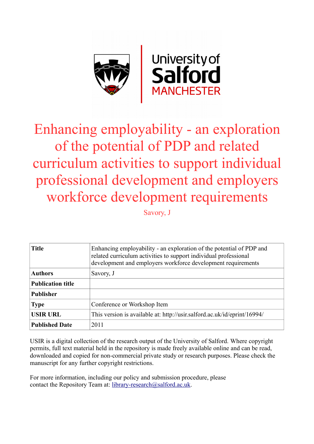

# Enhancing employability - an exploration of the potential of PDP and related curriculum activities to support individual professional development and employers workforce development requirements

Savory, J

| <b>Title</b>             | Enhancing employability - an exploration of the potential of PDP and<br>related curriculum activities to support individual professional<br>development and employers workforce development requirements |
|--------------------------|----------------------------------------------------------------------------------------------------------------------------------------------------------------------------------------------------------|
| <b>Authors</b>           | Savory, J                                                                                                                                                                                                |
| <b>Publication title</b> |                                                                                                                                                                                                          |
| <b>Publisher</b>         |                                                                                                                                                                                                          |
| <b>Type</b>              | Conference or Workshop Item                                                                                                                                                                              |
| <b>USIR URL</b>          | This version is available at: http://usir.salford.ac.uk/id/eprint/16994/                                                                                                                                 |
| <b>Published Date</b>    | 2011                                                                                                                                                                                                     |

USIR is a digital collection of the research output of the University of Salford. Where copyright permits, full text material held in the repository is made freely available online and can be read, downloaded and copied for non-commercial private study or research purposes. Please check the manuscript for any further copyright restrictions.

For more information, including our policy and submission procedure, please contact the Repository Team at: [library-research@salford.ac.uk.](mailto:library-research@salford.ac.uk)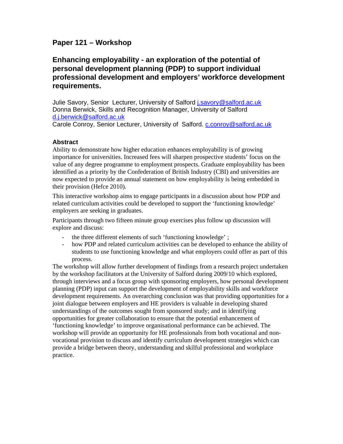### **Paper 121 – Workshop**

## **Enhancing employability - an exploration of the potential of personal development planning (PDP) to support individual professional development and employers' workforce development requirements.**

Julie Savory, Senior Lecturer, University of Salford j.savory@salford.ac.uk Donna Berwick, Skills and Recognition Manager, University of Salford d.j.berwick@salford.ac.uk

Carole Conroy, Senior Lecturer, University of Salford. c.conroy@salford.ac.uk

#### **Abstract**

Ability to demonstrate how higher education enhances employability is of growing importance for universities. Increased fees will sharpen prospective students' focus on the value of any degree programme to employment prospects. Graduate employability has been identified as a priority by the Confederation of British Industry (CBI) and universities are now expected to provide an annual statement on how employability is being embedded in their provision (Hefce 2010).

This interactive workshop aims to engage participants in a discussion about how PDP and related curriculum activities could be developed to support the 'functioning knowledge' employers are seeking in graduates.

Participants through two fifteen minute group exercises plus follow up discussion will explore and discuss:

- the three different elements of such 'functioning knowledge';
- how PDP and related curriculum activities can be developed to enhance the ability of students to use functioning knowledge and what employers could offer as part of this process.

The workshop will allow further development of findings from a research project undertaken by the workshop facilitators at the University of Salford during 2009/10 which explored, through interviews and a focus group with sponsoring employers, how personal development planning (PDP) input can support the development of employability skills and workforce development requirements. An overarching conclusion was that providing opportunities for a joint dialogue between employers and HE providers is valuable in developing shared understandings of the outcomes sought from sponsored study; and in identifying opportunities for greater collaboration to ensure that the potential enhancement of 'functioning knowledge' to improve organisational performance can be achieved. The workshop will provide an opportunity for HE professionals from both vocational and nonvocational provision to discuss and identify curriculum development strategies which can provide a bridge between theory, understanding and skilful professional and workplace practice.